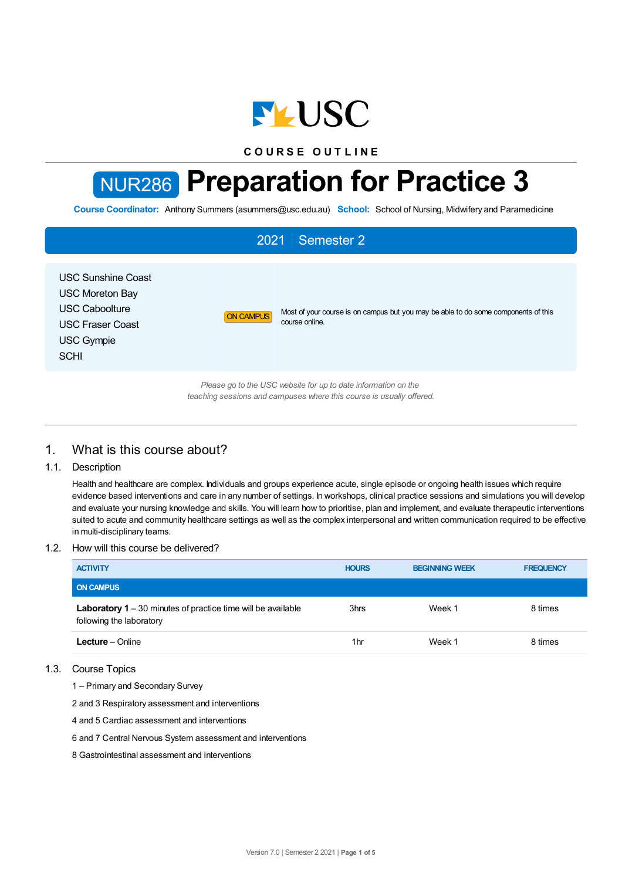

**C O U R S E O U T L I N E**

# NUR286 **Preparation for Practice 3**

**Course Coordinator:** Anthony Summers (asummers@usc.edu.au) **School:** School of Nursing, Midwifery and Paramedicine

# 2021 Semester 2 USC Sunshine Coast USC Moreton Bay USC Caboolture USC Fraser Coast USC Gympie **SCHI** ON CAMPUS Most of your course is on campus but you may be able to do some components of this course online. *Please go to the USC website for up to date information on the teaching sessions and campuses where this course is usually offered.*

# 1. What is this course about?

# 1.1. Description

Health and healthcare are complex. Individuals and groups experience acute, single episode or ongoing health issues which require evidence based interventions and care in any number of settings. In workshops, clinical practice sessions and simulations you will develop and evaluate your nursing knowledge and skills. You will learn how to prioritise, plan and implement, and evaluate therapeutic interventions suited to acute and community healthcare settings as well as the complex interpersonal and written communication required to be effective in multi-disciplinary teams.

## 1.2. How will this course be delivered?

| <b>ACTIVITY</b>                                                                                 | <b>HOURS</b> | <b>BEGINNING WEEK</b> | <b>FREQUENCY</b> |
|-------------------------------------------------------------------------------------------------|--------------|-----------------------|------------------|
| <b>ON CAMPUS</b>                                                                                |              |                       |                  |
| <b>Laboratory 1</b> – 30 minutes of practice time will be available<br>following the laboratory | 3hrs         | Week 1                | 8 times          |
| <b>Lecture</b> – Online                                                                         | 1hr          | Week 1                | 8 times          |

#### 1.3. Course Topics

1 – Primary and Secondary Survey

2 and 3 Respiratory assessment and interventions

4 and 5 Cardiac assessment and interventions

6 and 7 Central Nervous System assessment and interventions

8 Gastrointestinal assessment and interventions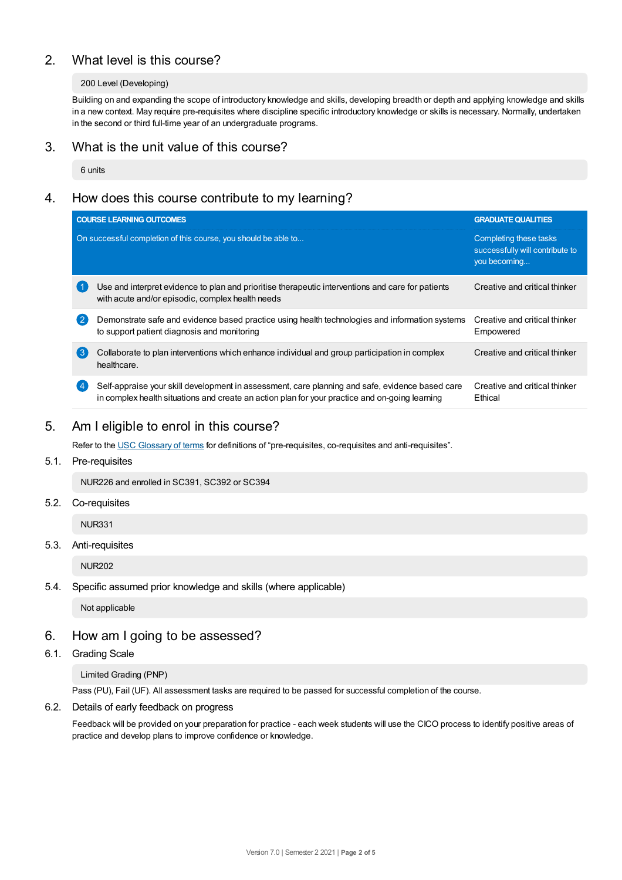# 2. What level is this course?

## 200 Level (Developing)

Building on and expanding the scope of introductory knowledge and skills, developing breadth or depth and applying knowledge and skills in a new context. May require pre-requisites where discipline specific introductory knowledge or skills is necessary. Normally, undertaken in the second or third full-time year of an undergraduate programs.

# 3. What is the unit value of this course?

6 units

# 4. How does this course contribute to my learning?

|                   | <b>COURSE LEARNING OUTCOMES</b>                                                                                                                                                                   | <b>GRADUATE QUALITIES</b>                                                 |
|-------------------|---------------------------------------------------------------------------------------------------------------------------------------------------------------------------------------------------|---------------------------------------------------------------------------|
|                   | On successful completion of this course, you should be able to                                                                                                                                    | Completing these tasks<br>successfully will contribute to<br>you becoming |
|                   | Use and interpret evidence to plan and prioritise therapeutic interventions and care for patients<br>with acute and/or episodic, complex health needs                                             | Creative and critical thinker                                             |
| $\left( 2\right)$ | Demonstrate safe and evidence based practice using health technologies and information systems<br>to support patient diagnosis and monitoring                                                     | Creative and critical thinker<br>Empowered                                |
| (ვ                | Collaborate to plan interventions which enhance individual and group participation in complex<br>healthcare.                                                                                      | Creative and critical thinker                                             |
|                   | Self-appraise your skill development in assessment, care planning and safe, evidence based care<br>in complex health situations and create an action plan for your practice and on-going learning | Creative and critical thinker<br>Ethical                                  |

# 5. Am Ieligible to enrol in this course?

Refer to the USC [Glossary](https://www.usc.edu.au/about/policies-and-procedures/glossary-of-terms-for-policy-and-procedures) of terms for definitions of "pre-requisites, co-requisites and anti-requisites".

## 5.1. Pre-requisites

NUR226 and enrolled in SC391, SC392 or SC394

#### 5.2. Co-requisites

NUR331

#### 5.3. Anti-requisites

NUR202

## 5.4. Specific assumed prior knowledge and skills (where applicable)

Not applicable

# 6. How am Igoing to be assessed?

## 6.1. Grading Scale

Limited Grading (PNP)

Pass (PU), Fail (UF). All assessment tasks are required to be passed for successful completion of the course.

## 6.2. Details of early feedback on progress

Feedback will be provided on your preparation for practice - each week students will use the CICO process to identify positive areas of practice and develop plans to improve confidence or knowledge.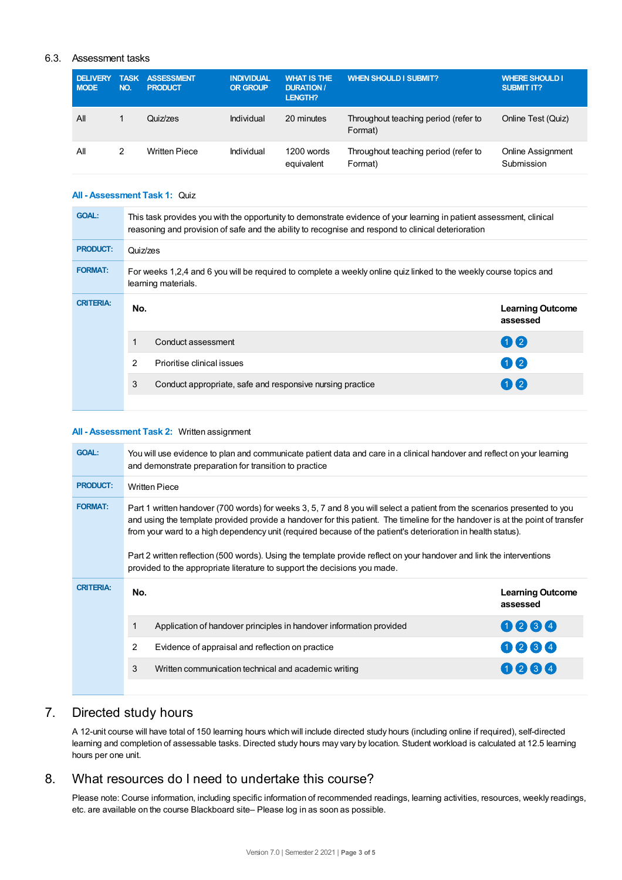# 6.3. Assessment tasks

| <b>DELIVERY</b><br><b>MODE</b> | <b>TASK</b><br>NO. | <b>ASSESSMENT</b><br><b>PRODUCT</b> | <b>INDIVIDUAL</b><br><b>OR GROUP</b> | <b>WHAT IS THE</b><br><b>DURATION /</b><br><b>LENGTH?</b> | <b>WHEN SHOULD I SUBMIT?</b>                    | <b>WHERE SHOULD I</b><br><b>SUBMIT IT?</b> |
|--------------------------------|--------------------|-------------------------------------|--------------------------------------|-----------------------------------------------------------|-------------------------------------------------|--------------------------------------------|
| All                            |                    | Quiz/zes                            | Individual                           | 20 minutes                                                | Throughout teaching period (refer to<br>Format) | Online Test (Quiz)                         |
| All                            | 2                  | <b>Written Piece</b>                | Individual                           | 1200 words<br>equivalent                                  | Throughout teaching period (refer to<br>Format) | Online Assignment<br>Submission            |

#### **All - Assessment Task 1:** Quiz

| <b>GOAL:</b>     | This task provides you with the opportunity to demonstrate evidence of your learning in patient assessment, clinical<br>reasoning and provision of safe and the ability to recognise and respond to clinical deterioration |                                                           |                                     |  |  |
|------------------|----------------------------------------------------------------------------------------------------------------------------------------------------------------------------------------------------------------------------|-----------------------------------------------------------|-------------------------------------|--|--|
| <b>PRODUCT:</b>  | Quiz/zes                                                                                                                                                                                                                   |                                                           |                                     |  |  |
| <b>FORMAT:</b>   | For weeks 1,2,4 and 6 you will be required to complete a weekly online quiz linked to the weekly course topics and<br>learning materials.                                                                                  |                                                           |                                     |  |  |
| <b>CRITERIA:</b> | No.                                                                                                                                                                                                                        |                                                           | <b>Learning Outcome</b><br>assessed |  |  |
|                  |                                                                                                                                                                                                                            | Conduct assessment                                        | $\mathbf{0}$                        |  |  |
|                  | 2                                                                                                                                                                                                                          | Prioritise clinical issues                                | $\mathbf{0}$                        |  |  |
|                  | 3                                                                                                                                                                                                                          | Conduct appropriate, safe and responsive nursing practice | $\mathbf{0}$                        |  |  |
|                  |                                                                                                                                                                                                                            |                                                           |                                     |  |  |

## **All - Assessment Task 2:** Written assignment

| <b>GOAL:</b>     | You will use evidence to plan and communicate patient data and care in a clinical handover and reflect on your learning<br>and demonstrate preparation for transition to practice |                                                                                                                                                                                                                                                                                                                                                                                                                                                                                                                                                                                   |                                     |  |  |  |
|------------------|-----------------------------------------------------------------------------------------------------------------------------------------------------------------------------------|-----------------------------------------------------------------------------------------------------------------------------------------------------------------------------------------------------------------------------------------------------------------------------------------------------------------------------------------------------------------------------------------------------------------------------------------------------------------------------------------------------------------------------------------------------------------------------------|-------------------------------------|--|--|--|
| <b>PRODUCT:</b>  | <b>Written Piece</b>                                                                                                                                                              |                                                                                                                                                                                                                                                                                                                                                                                                                                                                                                                                                                                   |                                     |  |  |  |
| <b>FORMAT:</b>   |                                                                                                                                                                                   | Part 1 written handover (700 words) for weeks 3, 5, 7 and 8 you will select a patient from the scenarios presented to you<br>and using the template provided provide a handover for this patient. The timeline for the handover is at the point of transfer<br>from your ward to a high dependency unit (required because of the patient's deterioration in health status).<br>Part 2 written reflection (500 words). Using the template provide reflect on your handover and link the interventions<br>provided to the appropriate literature to support the decisions you made. |                                     |  |  |  |
| <b>CRITERIA:</b> | No.                                                                                                                                                                               |                                                                                                                                                                                                                                                                                                                                                                                                                                                                                                                                                                                   | <b>Learning Outcome</b><br>assessed |  |  |  |
|                  |                                                                                                                                                                                   | Application of handover principles in handover information provided                                                                                                                                                                                                                                                                                                                                                                                                                                                                                                               | 0064                                |  |  |  |
|                  | $\overline{2}$                                                                                                                                                                    | Evidence of appraisal and reflection on practice                                                                                                                                                                                                                                                                                                                                                                                                                                                                                                                                  | 0234                                |  |  |  |
|                  | 3                                                                                                                                                                                 | Written communication technical and academic writing                                                                                                                                                                                                                                                                                                                                                                                                                                                                                                                              | 0284                                |  |  |  |
|                  |                                                                                                                                                                                   |                                                                                                                                                                                                                                                                                                                                                                                                                                                                                                                                                                                   |                                     |  |  |  |

# 7. Directed study hours

A 12-unit course will have total of 150 learning hours which will include directed study hours (including online if required), self-directed learning and completion of assessable tasks. Directed study hours may vary by location. Student workload is calculated at 12.5 learning hours per one unit.

# 8. What resources do I need to undertake this course?

Please note: Course information, including specific information of recommended readings, learning activities, resources, weekly readings, etc. are available on the course Blackboard site– Please log in as soon as possible.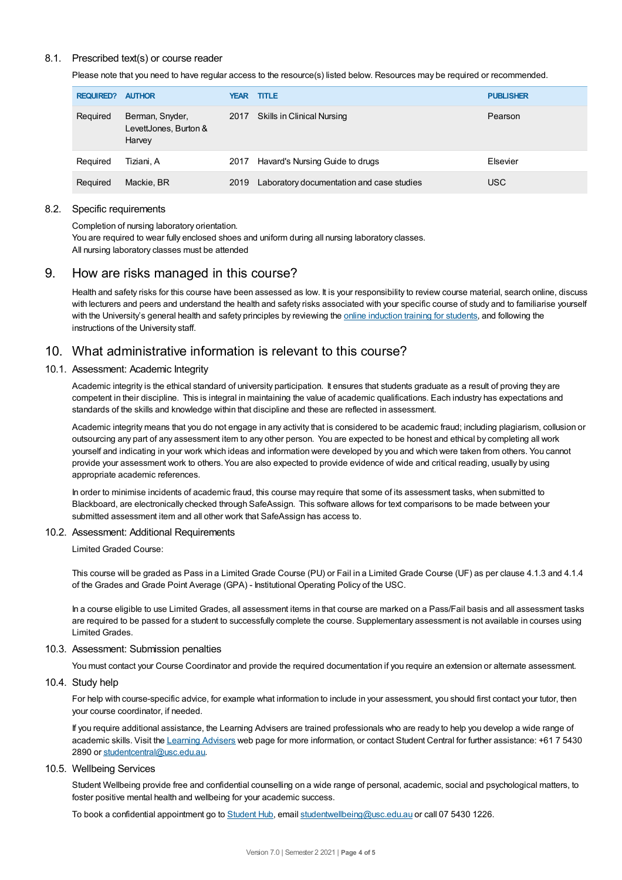## 8.1. Prescribed text(s) or course reader

Please note that you need to have regular access to the resource(s) listed below. Resources may be required or recommended.

| <b>REQUIRED?</b> | <b>AUTHOR</b>                                      | <b>YEAR</b> | <b>TITLE</b>                              | <b>PUBLISHER</b> |
|------------------|----------------------------------------------------|-------------|-------------------------------------------|------------------|
| Required         | Berman, Snyder,<br>LevettJones, Burton &<br>Harvey | 2017        | Skills in Clinical Nursing                | Pearson          |
| Required         | Tiziani. A                                         | 2017        | Havard's Nursing Guide to drugs           | Elsevier         |
| Required         | Mackie, BR                                         | 2019        | Laboratory documentation and case studies | <b>USC</b>       |

#### 8.2. Specific requirements

Completion of nursing laboratory orientation.

You are required to wear fully enclosed shoes and uniform during all nursing laboratory classes. All nursing laboratory classes must be attended

# 9. How are risks managed in this course?

Health and safety risks for this course have been assessed as low. It is your responsibility to review course material, search online, discuss with lecturers and peers and understand the health and safety risks associated with your specific course of study and to familiarise yourself with the University's general health and safety principles by reviewing the online [induction](https://online.usc.edu.au/webapps/blackboard/content/listContentEditable.jsp?content_id=_632657_1&course_id=_14432_1) training for students, and following the instructions of the University staff.

# 10. What administrative information is relevant to this course?

#### 10.1. Assessment: Academic Integrity

Academic integrity is the ethical standard of university participation. It ensures that students graduate as a result of proving they are competent in their discipline. This is integral in maintaining the value of academic qualifications. Each industry has expectations and standards of the skills and knowledge within that discipline and these are reflected in assessment.

Academic integrity means that you do not engage in any activity that is considered to be academic fraud; including plagiarism, collusion or outsourcing any part of any assessment item to any other person. You are expected to be honest and ethical by completing all work yourself and indicating in your work which ideas and information were developed by you and which were taken from others. You cannot provide your assessment work to others. You are also expected to provide evidence of wide and critical reading, usually by using appropriate academic references.

In order to minimise incidents of academic fraud, this course may require that some of its assessment tasks, when submitted to Blackboard, are electronically checked through SafeAssign. This software allows for text comparisons to be made between your submitted assessment item and all other work that SafeAssign has access to.

#### 10.2. Assessment: Additional Requirements

Limited Graded Course:

This course will be graded as Pass in a Limited Grade Course (PU) or Fail in a Limited Grade Course (UF) as per clause 4.1.3 and 4.1.4 of the Grades and Grade Point Average (GPA) - Institutional Operating Policy of the USC.

In a course eligible to use Limited Grades, all assessment items in that course are marked on a Pass/Fail basis and all assessment tasks are required to be passed for a student to successfully complete the course. Supplementary assessment is not available in courses using Limited Grades.

#### 10.3. Assessment: Submission penalties

You must contact your Course Coordinator and provide the required documentation if you require an extension or alternate assessment.

10.4. Study help

For help with course-specific advice, for example what information to include in your assessment, you should first contact your tutor, then your course coordinator, if needed.

If you require additional assistance, the Learning Advisers are trained professionals who are ready to help you develop a wide range of academic skills. Visit the Learning [Advisers](https://www.usc.edu.au/current-students/student-support/academic-and-study-support/learning-advisers) web page for more information, or contact Student Central for further assistance: +61 7 5430 2890 or [studentcentral@usc.edu.au](mailto:studentcentral@usc.edu.au).

# 10.5. Wellbeing Services

Student Wellbeing provide free and confidential counselling on a wide range of personal, academic, social and psychological matters, to foster positive mental health and wellbeing for your academic success.

To book a confidential appointment go to [Student](https://studenthub.usc.edu.au/) Hub, email [studentwellbeing@usc.edu.au](mailto:studentwellbeing@usc.edu.au) or call 07 5430 1226.